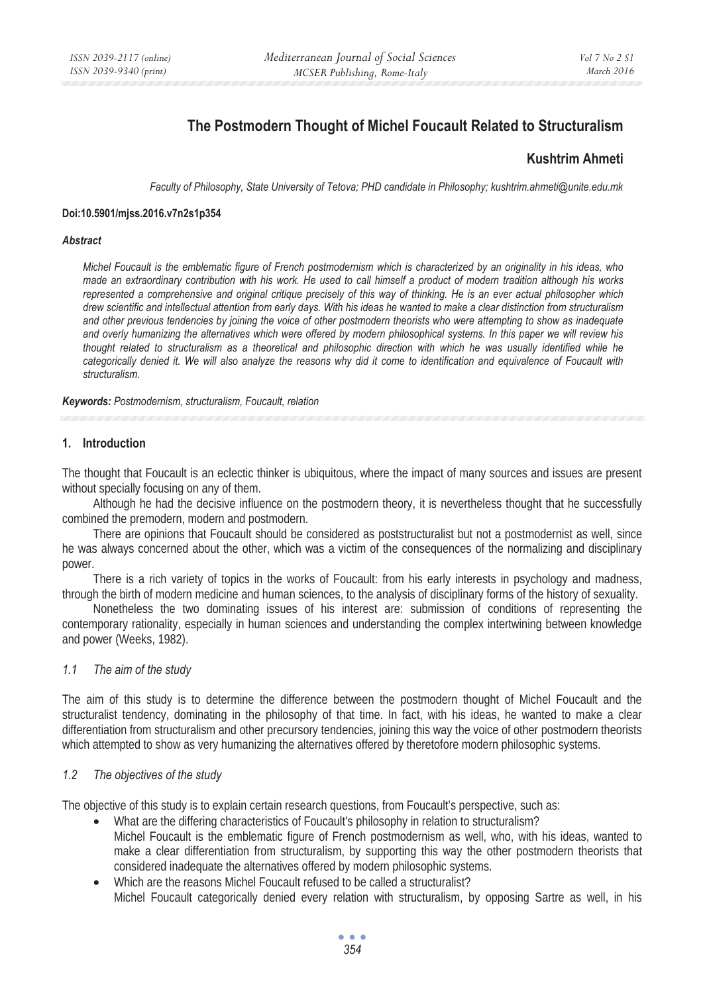# **The Postmodern Thought of Michel Foucault Related to Structuralism**

# **Kushtrim Ahmeti**

*Faculty of Philosophy, State University of Tetova; PHD candidate in Philosophy; kushtrim.ahmeti@unite.edu.mk* 

#### **Doi:10.5901/mjss.2016.v7n2s1p354**

#### *Abstract*

*Michel Foucault is the emblematic figure of French postmodernism which is characterized by an originality in his ideas, who made an extraordinary contribution with his work. He used to call himself a product of modern tradition although his works represented a comprehensive and original critique precisely of this way of thinking. He is an ever actual philosopher which drew scientific and intellectual attention from early days. With his ideas he wanted to make a clear distinction from structuralism and other previous tendencies by joining the voice of other postmodern theorists who were attempting to show as inadequate and overly humanizing the alternatives which were offered by modern philosophical systems. In this paper we will review his thought related to structuralism as a theoretical and philosophic direction with which he was usually identified while he categorically denied it. We will also analyze the reasons why did it come to identification and equivalence of Foucault with structuralism.* 

*Keywords: Postmodernism, structuralism, Foucault, relation* 

# **1. Introduction**

The thought that Foucault is an eclectic thinker is ubiquitous, where the impact of many sources and issues are present without specially focusing on any of them.

Although he had the decisive influence on the postmodern theory, it is nevertheless thought that he successfully combined the premodern, modern and postmodern.

There are opinions that Foucault should be considered as poststructuralist but not a postmodernist as well, since he was always concerned about the other, which was a victim of the consequences of the normalizing and disciplinary power.

There is a rich variety of topics in the works of Foucault: from his early interests in psychology and madness, through the birth of modern medicine and human sciences, to the analysis of disciplinary forms of the history of sexuality.

Nonetheless the two dominating issues of his interest are: submission of conditions of representing the contemporary rationality, especially in human sciences and understanding the complex intertwining between knowledge and power (Weeks, 1982).

### *1.1 The aim of the study*

The aim of this study is to determine the difference between the postmodern thought of Michel Foucault and the structuralist tendency, dominating in the philosophy of that time. In fact, with his ideas, he wanted to make a clear differentiation from structuralism and other precursory tendencies, joining this way the voice of other postmodern theorists which attempted to show as very humanizing the alternatives offered by theretofore modern philosophic systems.

# *1.2 The objectives of the study*

The objective of this study is to explain certain research questions, from Foucault's perspective, such as:

- What are the differing characteristics of Foucault's philosophy in relation to structuralism? Michel Foucault is the emblematic figure of French postmodernism as well, who, with his ideas, wanted to make a clear differentiation from structuralism, by supporting this way the other postmodern theorists that considered inadequate the alternatives offered by modern philosophic systems.
- Which are the reasons Michel Foucault refused to be called a structuralist? Michel Foucault categorically denied every relation with structuralism, by opposing Sartre as well, in his

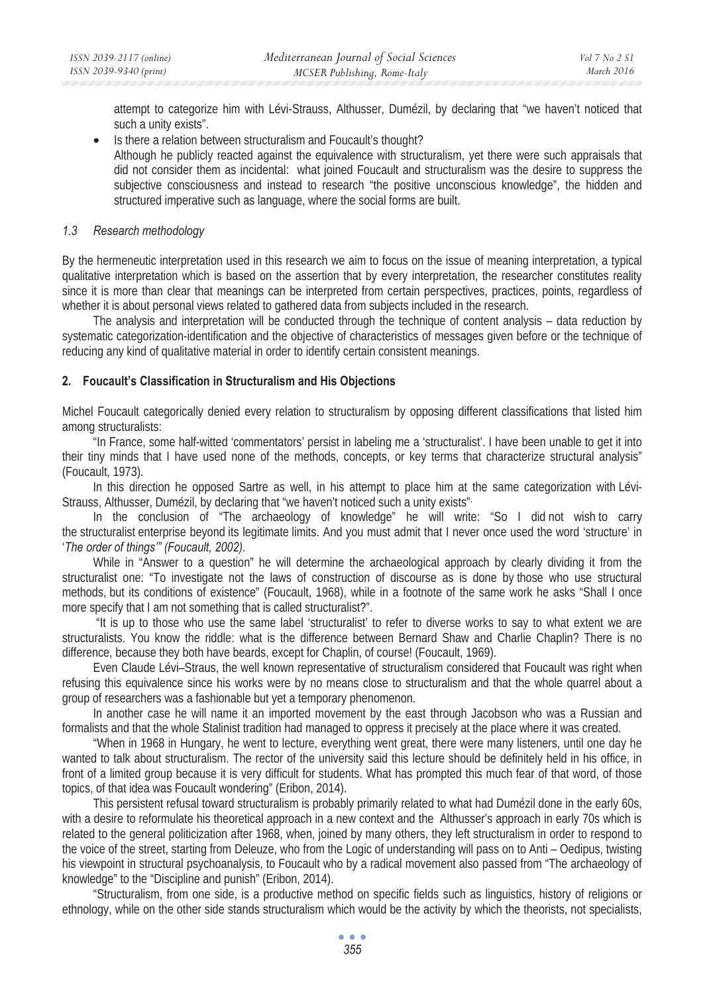attempt to categorize him with Lévi-Strauss, Althusser, Dumézil, by declaring that "we haven't noticed that such a unity exists".

Is there a relation between structuralism and Foucault's thought?

Although he publicly reacted against the equivalence with structuralism, yet there were such appraisals that did not consider them as incidental: what joined Foucault and structuralism was the desire to suppress the subjective consciousness and instead to research "the positive unconscious knowledge", the hidden and structured imperative such as language, where the social forms are built.

# *1.3 Research methodology*

By the hermeneutic interpretation used in this research we aim to focus on the issue of meaning interpretation, a typical qualitative interpretation which is based on the assertion that by every interpretation, the researcher constitutes reality since it is more than clear that meanings can be interpreted from certain perspectives, practices, points, regardless of whether it is about personal views related to gathered data from subjects included in the research.

The analysis and interpretation will be conducted through the technique of content analysis – data reduction by systematic categorization-identification and the objective of characteristics of messages given before or the technique of reducing any kind of qualitative material in order to identify certain consistent meanings.

# **2. Foucault's Classification in Structuralism and His Objections**

Michel Foucault categorically denied every relation to structuralism by opposing different classifications that listed him among structuralists:

"In France, some half-witted 'commentators' persist in labeling me a 'structuralist'. I have been unable to get it into their tiny minds that I have used none of the methods, concepts, or key terms that characterize structural analysis" (Foucault, 1973).

In this direction he opposed Sartre as well, in his attempt to place him at the same categorization with Lévi-Strauss, Althusser, Dumézil, by declaring that "we haven't noticed such a unity exists".

In the conclusion of "The archaeology of knowledge" he will write: "So I did not wish to carry the structuralist enterprise beyond its legitimate limits. And you must admit that I never once used the word 'structure' in '*The order of things'" (Foucault, 2002).*

While in "Answer to a question" he will determine the archaeological approach by clearly dividing it from the structuralist one: "To investigate not the laws of construction of discourse as is done by those who use structural methods, but its conditions of existence" (Foucault, 1968), while in a footnote of the same work he asks "Shall I once more specify that I am not something that is called structuralist?".

 "It is up to those who use the same label 'structuralist' to refer to diverse works to say to what extent we are structuralists. You know the riddle: what is the difference between Bernard Shaw and Charlie Chaplin? There is no difference, because they both have beards, except for Chaplin, of course! (Foucault, 1969).

Even Claude Lévi–Straus, the well known representative of structuralism considered that Foucault was right when refusing this equivalence since his works were by no means close to structuralism and that the whole quarrel about a group of researchers was a fashionable but yet a temporary phenomenon.

In another case he will name it an imported movement by the east through Jacobson who was a Russian and formalists and that the whole Stalinist tradition had managed to oppress it precisely at the place where it was created.

"When in 1968 in Hungary, he went to lecture, everything went great, there were many listeners, until one day he wanted to talk about structuralism. The rector of the university said this lecture should be definitely held in his office, in front of a limited group because it is very difficult for students. What has prompted this much fear of that word, of those topics, of that idea was Foucault wondering" (Eribon, 2014).

This persistent refusal toward structuralism is probably primarily related to what had Dumézil done in the early 60s, with a desire to reformulate his theoretical approach in a new context and the Althusser's approach in early 70s which is related to the general politicization after 1968, when, joined by many others, they left structuralism in order to respond to the voice of the street, starting from Deleuze, who from the Logic of understanding will pass on to Anti – Oedipus, twisting his viewpoint in structural psychoanalysis, to Foucault who by a radical movement also passed from "The archaeology of knowledge" to the "Discipline and punish" (Eribon, 2014).

"Structuralism, from one side, is a productive method on specific fields such as linguistics, history of religions or ethnology, while on the other side stands structuralism which would be the activity by which the theorists, not specialists,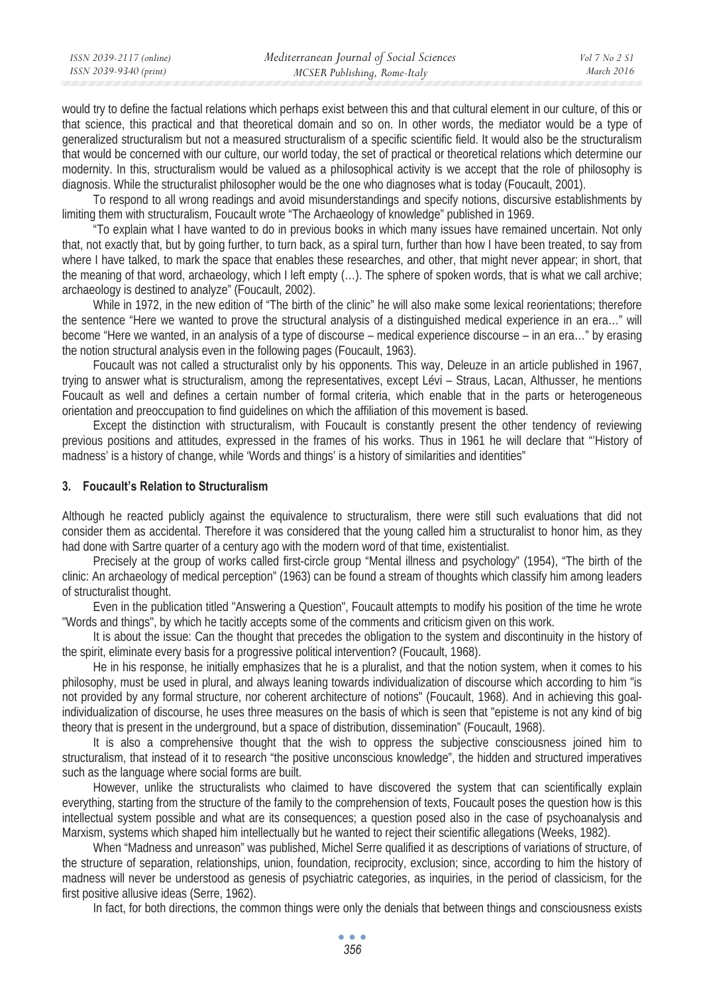| ISSN 2039-2117 (online) | Mediterranean Journal of Social Sciences | Vol 7 No 2 S1 |
|-------------------------|------------------------------------------|---------------|
| ISSN 2039-9340 (print)  | MCSER Publishing, Rome-Italy             | March 2016    |

would try to define the factual relations which perhaps exist between this and that cultural element in our culture, of this or that science, this practical and that theoretical domain and so on. In other words, the mediator would be a type of generalized structuralism but not a measured structuralism of a specific scientific field. It would also be the structuralism that would be concerned with our culture, our world today, the set of practical or theoretical relations which determine our modernity. In this, structuralism would be valued as a philosophical activity is we accept that the role of philosophy is diagnosis. While the structuralist philosopher would be the one who diagnoses what is today (Foucault, 2001).

To respond to all wrong readings and avoid misunderstandings and specify notions, discursive establishments by limiting them with structuralism, Foucault wrote "The Archaeology of knowledge" published in 1969.

"To explain what I have wanted to do in previous books in which many issues have remained uncertain. Not only that, not exactly that, but by going further, to turn back, as a spiral turn, further than how I have been treated, to say from where I have talked, to mark the space that enables these researches, and other, that might never appear; in short, that the meaning of that word, archaeology, which I left empty (…). The sphere of spoken words, that is what we call archive; archaeology is destined to analyze" (Foucault, 2002).

While in 1972, in the new edition of "The birth of the clinic" he will also make some lexical reorientations; therefore the sentence "Here we wanted to prove the structural analysis of a distinguished medical experience in an era…" will become "Here we wanted, in an analysis of a type of discourse – medical experience discourse – in an era…" by erasing the notion structural analysis even in the following pages (Foucault, 1963).

Foucault was not called a structuralist only by his opponents. This way, Deleuze in an article published in 1967, trying to answer what is structuralism, among the representatives, except Lévi – Straus, Lacan, Althusser, he mentions Foucault as well and defines a certain number of formal criteria, which enable that in the parts or heterogeneous orientation and preoccupation to find guidelines on which the affiliation of this movement is based.

Except the distinction with structuralism, with Foucault is constantly present the other tendency of reviewing previous positions and attitudes, expressed in the frames of his works. Thus in 1961 he will declare that "'History of madness' is a history of change, while 'Words and things' is a history of similarities and identities"

### **3. Foucault's Relation to Structuralism**

Although he reacted publicly against the equivalence to structuralism, there were still such evaluations that did not consider them as accidental. Therefore it was considered that the young called him a structuralist to honor him, as they had done with Sartre quarter of a century ago with the modern word of that time, existentialist.

Precisely at the group of works called first-circle group "Mental illness and psychology" (1954), "The birth of the clinic: An archaeology of medical perception" (1963) can be found a stream of thoughts which classify him among leaders of structuralist thought.

Even in the publication titled "Answering a Question", Foucault attempts to modify his position of the time he wrote "Words and things", by which he tacitly accepts some of the comments and criticism given on this work.

It is about the issue: Can the thought that precedes the obligation to the system and discontinuity in the history of the spirit, eliminate every basis for a progressive political intervention? (Foucault, 1968).

He in his response, he initially emphasizes that he is a pluralist, and that the notion system, when it comes to his philosophy, must be used in plural, and always leaning towards individualization of discourse which according to him "is not provided by any formal structure, nor coherent architecture of notions" (Foucault, 1968). And in achieving this goalindividualization of discourse, he uses three measures on the basis of which is seen that "episteme is not any kind of big theory that is present in the underground, but a space of distribution, dissemination" (Foucault, 1968).

It is also a comprehensive thought that the wish to oppress the subjective consciousness joined him to structuralism, that instead of it to research "the positive unconscious knowledge", the hidden and structured imperatives such as the language where social forms are built.

However, unlike the structuralists who claimed to have discovered the system that can scientifically explain everything, starting from the structure of the family to the comprehension of texts, Foucault poses the question how is this intellectual system possible and what are its consequences; a question posed also in the case of psychoanalysis and Marxism, systems which shaped him intellectually but he wanted to reject their scientific allegations (Weeks, 1982).

When "Madness and unreason" was published, Michel Serre qualified it as descriptions of variations of structure, of the structure of separation, relationships, union, foundation, reciprocity, exclusion; since, according to him the history of madness will never be understood as genesis of psychiatric categories, as inquiries, in the period of classicism, for the first positive allusive ideas (Serre, 1962).

In fact, for both directions, the common things were only the denials that between things and consciousness exists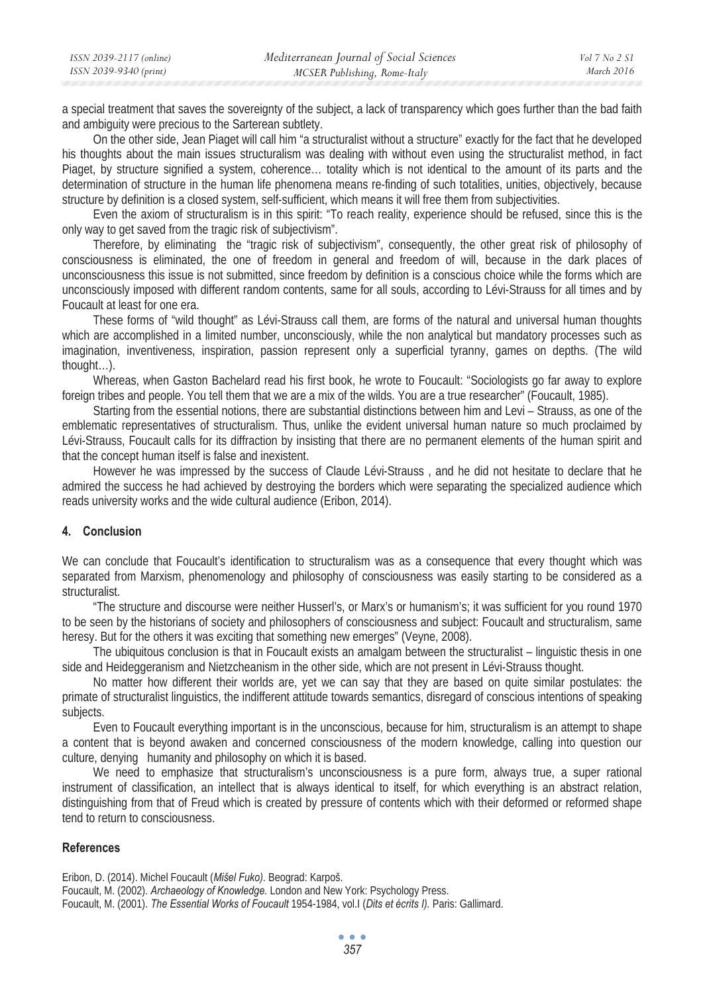| ISSN 2039-2117 (online) | Mediterranean Journal of Social Sciences | Vol 7 No 2 S1 |
|-------------------------|------------------------------------------|---------------|
| ISSN 2039-9340 (print)  | MCSER Publishing, Rome-Italy             | March 2016    |

a special treatment that saves the sovereignty of the subject, a lack of transparency which goes further than the bad faith and ambiguity were precious to the Sarterean subtlety.

On the other side, Jean Piaget will call him "a structuralist without a structure" exactly for the fact that he developed his thoughts about the main issues structuralism was dealing with without even using the structuralist method, in fact Piaget, by structure signified a system, coherence… totality which is not identical to the amount of its parts and the determination of structure in the human life phenomena means re-finding of such totalities, unities, objectively, because structure by definition is a closed system, self-sufficient, which means it will free them from subjectivities.

Even the axiom of structuralism is in this spirit: "To reach reality, experience should be refused, since this is the only way to get saved from the tragic risk of subjectivism".

Therefore, by eliminating the "tragic risk of subjectivism", consequently, the other great risk of philosophy of consciousness is eliminated, the one of freedom in general and freedom of will, because in the dark places of unconsciousness this issue is not submitted, since freedom by definition is a conscious choice while the forms which are unconsciously imposed with different random contents, same for all souls, according to Lévi-Strauss for all times and by Foucault at least for one era.

These forms of "wild thought" as Lévi-Strauss call them, are forms of the natural and universal human thoughts which are accomplished in a limited number, unconsciously, while the non analytical but mandatory processes such as imagination, inventiveness, inspiration, passion represent only a superficial tyranny, games on depths. (The wild thought…).

Whereas, when Gaston Bachelard read his first book, he wrote to Foucault: "Sociologists go far away to explore foreign tribes and people. You tell them that we are a mix of the wilds. You are a true researcher" (Foucault, 1985).

Starting from the essential notions, there are substantial distinctions between him and Levi – Strauss, as one of the emblematic representatives of structuralism. Thus, unlike the evident universal human nature so much proclaimed by Lévi-Strauss, Foucault calls for its diffraction by insisting that there are no permanent elements of the human spirit and that the concept human itself is false and inexistent.

However he was impressed by the success of Claude Lévi-Strauss , and he did not hesitate to declare that he admired the success he had achieved by destroying the borders which were separating the specialized audience which reads university works and the wide cultural audience (Eribon, 2014).

# **4. Conclusion**

We can conclude that Foucault's identification to structuralism was as a consequence that every thought which was separated from Marxism, phenomenology and philosophy of consciousness was easily starting to be considered as a structuralist.

"The structure and discourse were neither Husserl's, or Marx's or humanism's; it was sufficient for you round 1970 to be seen by the historians of society and philosophers of consciousness and subject: Foucault and structuralism, same heresy. But for the others it was exciting that something new emerges" (Veyne, 2008).

The ubiquitous conclusion is that in Foucault exists an amalgam between the structuralist – linguistic thesis in one side and Heideggeranism and Nietzcheanism in the other side, which are not present in Lévi-Strauss thought.

No matter how different their worlds are, yet we can say that they are based on quite similar postulates: the primate of structuralist linguistics, the indifferent attitude towards semantics, disregard of conscious intentions of speaking subjects.

Even to Foucault everything important is in the unconscious, because for him, structuralism is an attempt to shape a content that is beyond awaken and concerned consciousness of the modern knowledge, calling into question our culture, denying humanity and philosophy on which it is based.

We need to emphasize that structuralism's unconsciousness is a pure form, always true, a super rational instrument of classification, an intellect that is always identical to itself, for which everything is an abstract relation, distinguishing from that of Freud which is created by pressure of contents which with their deformed or reformed shape tend to return to consciousness.

# **References**

Eribon, D. (2014). Michel Foucault (*Mišel Fuko).* Beograd: Karpoš.

Foucault, M. (2002). *Archaeology of Knowledge.* London and New York: Psychology Press.

Foucault, M. (2001). *The Essential Works of Foucault* 1954-1984, vol.I (*Dits et écrits I).* Paris: Gallimard.